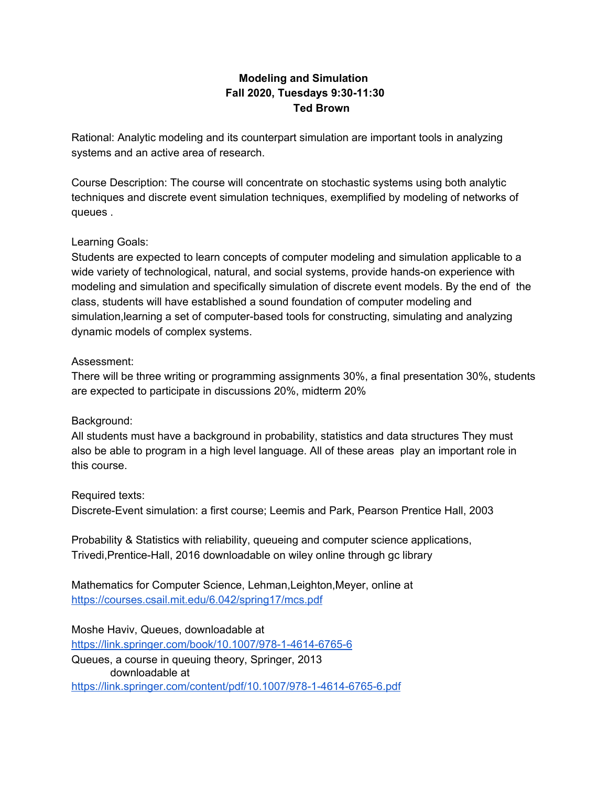# **Modeling and Simulation Fall 2020, Tuesdays 9:30-11:30 Ted Brown**

Rational: Analytic modeling and its counterpart simulation are important tools in analyzing systems and an active area of research.

Course Description: The course will concentrate on stochastic systems using both analytic techniques and discrete event simulation techniques, exemplified by modeling of networks of queues .

## Learning Goals:

Students are expected to learn concepts of computer modeling and simulation applicable to a wide variety of technological, natural, and social systems, provide hands-on experience with modeling and simulation and specifically simulation of discrete event models. By the end of the class, students will have established a sound foundation of computer modeling and simulation,learning a set of computer-based tools for constructing, simulating and analyzing dynamic models of complex systems.

## Assessment:

There will be three writing or programming assignments 30%, a final presentation 30%, students are expected to participate in discussions 20%, midterm 20%

## Background:

All students must have a background in probability, statistics and data structures They must also be able to program in a high level language. All of these areas play an important role in this course.

## Required texts:

Discrete-Event simulation: a first course; Leemis and Park, Pearson Prentice Hall, 2003

Probability & Statistics with reliability, queueing and computer science applications, Trivedi,Prentice-Hall, 2016 downloadable on wiley online through gc library

Mathematics for Computer Science, Lehman,Leighton,Meyer, online at <https://courses.csail.mit.edu/6.042/spring17/mcs.pdf>

Moshe Haviv, Queues, downloadable at <https://link.springer.com/book/10.1007/978-1-4614-6765-6> Queues, a course in queuing theory, Springer, 2013 downloadable at <https://link.springer.com/content/pdf/10.1007/978-1-4614-6765-6.pdf>